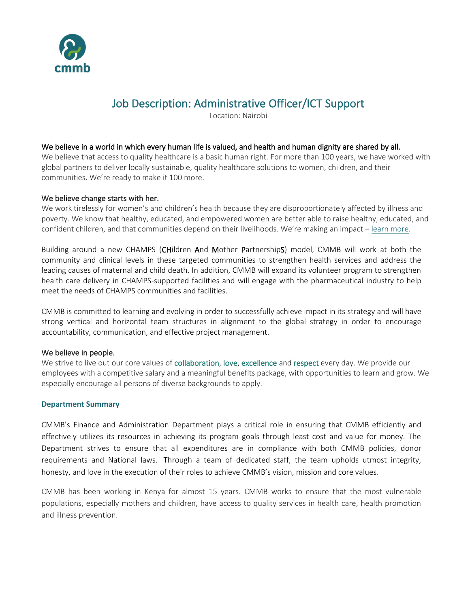

# Job Description: Administrative Officer/ICT Support

Location: Nairobi

#### We believe in a world in which every human life is valued, and health and human dignity are shared by all.

We believe that access to quality healthcare is a basic human right. For more than 100 years, we have worked with global partners to deliver locally sustainable, quality healthcare solutions to women, children, and their communities. We're ready to make it 100 more.

#### We believe change starts with her.

We work tirelessly for women's and children's health because they are disproportionately affected by illness and poverty. We know that healthy, educated, and empowered women are better able to raise healthy, educated, and confident children, and that communities depend on their livelihoods. We're making an impact – [learn more.](https://cmmb.org/global-family-annual-report/)

Building around a new CHAMPS (CHildren And Mother PartnershipS) model, CMMB will work at both the community and clinical levels in these targeted communities to strengthen health services and address the leading causes of maternal and child death. In addition, CMMB will expand its volunteer program to strengthen health care delivery in CHAMPS-supported facilities and will engage with the pharmaceutical industry to help meet the needs of CHAMPS communities and facilities.

CMMB is committed to learning and evolving in order to successfully achieve impact in its strategy and will have strong vertical and horizontal team structures in alignment to the global strategy in order to encourage accountability, communication, and effective project management.

#### We believe in people.

We strive to live out our core values of collaboration, love, excellence and respect every day. We provide our employees with a competitive salary and a meaningful benefits package, with opportunities to learn and grow. We especially encourage all persons of diverse backgrounds to apply.

#### **Department Summary**

CMMB's Finance and Administration Department plays a critical role in ensuring that CMMB efficiently and effectively utilizes its resources in achieving its program goals through least cost and value for money. The Department strives to ensure that all expenditures are in compliance with both CMMB policies, donor requirements and National laws. Through a team of dedicated staff, the team upholds utmost integrity, honesty, and love in the execution of their roles to achieve CMMB's vision, mission and core values.

CMMB has been working in Kenya for almost 15 years. CMMB works to ensure that the most vulnerable populations, especially mothers and children, have access to quality services in health care, health promotion and illness prevention.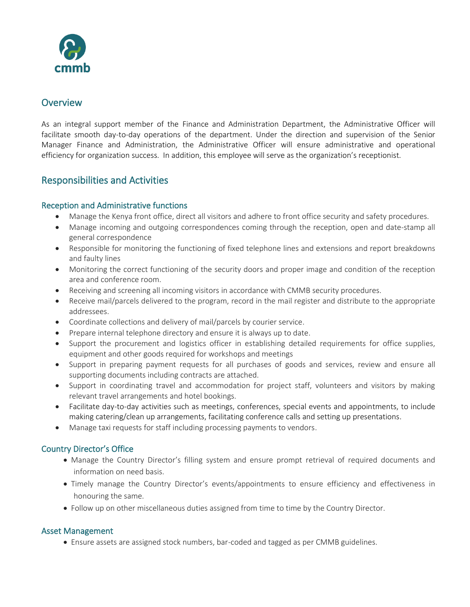

## **Overview**

As an integral support member of the Finance and Administration Department, the Administrative Officer will facilitate smooth day-to-day operations of the department. Under the direction and supervision of the Senior Manager Finance and Administration, the Administrative Officer will ensure administrative and operational efficiency for organization success. In addition, this employee will serve as the organization's receptionist.

# Responsibilities and Activities

### Reception and Administrative functions

- Manage the Kenya front office, direct all visitors and adhere to front office security and safety procedures.
- Manage incoming and outgoing correspondences coming through the reception, open and date-stamp all general correspondence
- Responsible for monitoring the functioning of fixed telephone lines and extensions and report breakdowns and faulty lines
- Monitoring the correct functioning of the security doors and proper image and condition of the reception area and conference room.
- Receiving and screening all incoming visitors in accordance with CMMB security procedures.
- Receive mail/parcels delivered to the program, record in the mail register and distribute to the appropriate addressees.
- Coordinate collections and delivery of mail/parcels by courier service.
- Prepare internal telephone directory and ensure it is always up to date.
- Support the procurement and logistics officer in establishing detailed requirements for office supplies, equipment and other goods required for workshops and meetings
- Support in preparing payment requests for all purchases of goods and services, review and ensure all supporting documents including contracts are attached.
- Support in coordinating travel and accommodation for project staff, volunteers and visitors by making relevant travel arrangements and hotel bookings.
- Facilitate day-to-day activities such as meetings, conferences, special events and appointments, to include making catering/clean up arrangements, facilitating conference calls and setting up presentations.
- Manage taxi requests for staff including processing payments to vendors.

### Country Director's Office

- Manage the Country Director's filling system and ensure prompt retrieval of required documents and information on need basis.
- Timely manage the Country Director's events/appointments to ensure efficiency and effectiveness in honouring the same.
- Follow up on other miscellaneous duties assigned from time to time by the Country Director.

### Asset Management

• Ensure assets are assigned stock numbers, bar-coded and tagged as per CMMB guidelines.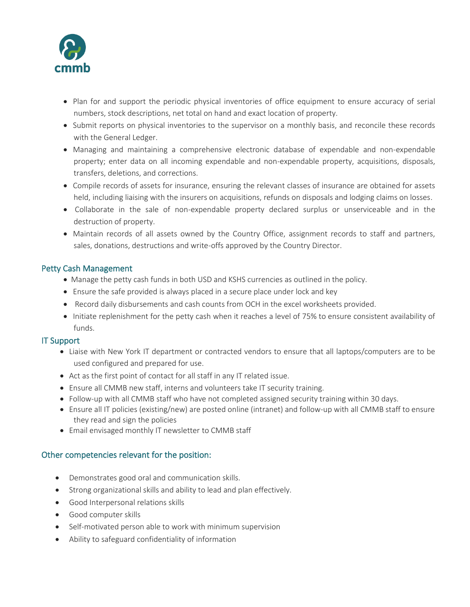

- Plan for and support the periodic physical inventories of office equipment to ensure accuracy of serial numbers, stock descriptions, net total on hand and exact location of property.
- Submit reports on physical inventories to the supervisor on a monthly basis, and reconcile these records with the General Ledger.
- Managing and maintaining a comprehensive electronic database of expendable and non-expendable property; enter data on all incoming expendable and non-expendable property, acquisitions, disposals, transfers, deletions, and corrections.
- Compile records of assets for insurance, ensuring the relevant classes of insurance are obtained for assets held, including liaising with the insurers on acquisitions, refunds on disposals and lodging claims on losses.
- Collaborate in the sale of non-expendable property declared surplus or unserviceable and in the destruction of property.
- Maintain records of all assets owned by the Country Office, assignment records to staff and partners, sales, donations, destructions and write-offs approved by the Country Director.

### Petty Cash Management

- Manage the petty cash funds in both USD and KSHS currencies as outlined in the policy.
- Ensure the safe provided is always placed in a secure place under lock and key
- Record daily disbursements and cash counts from OCH in the excel worksheets provided.
- Initiate replenishment for the petty cash when it reaches a level of 75% to ensure consistent availability of funds.

#### IT Support

- Liaise with New York IT department or contracted vendors to ensure that all laptops/computers are to be used configured and prepared for use.
- Act as the first point of contact for all staff in any IT related issue.
- Ensure all CMMB new staff, interns and volunteers take IT security training.
- Follow-up with all CMMB staff who have not completed assigned security training within 30 days.
- Ensure all IT policies (existing/new) are posted online (intranet) and follow-up with all CMMB staff to ensure they read and sign the policies
- Email envisaged monthly IT newsletter to CMMB staff

### Other competencies relevant for the position:

- Demonstrates good oral and communication skills.
- Strong organizational skills and ability to lead and plan effectively.
- Good Interpersonal relations skills
- Good computer skills
- Self-motivated person able to work with minimum supervision
- Ability to safeguard confidentiality of information